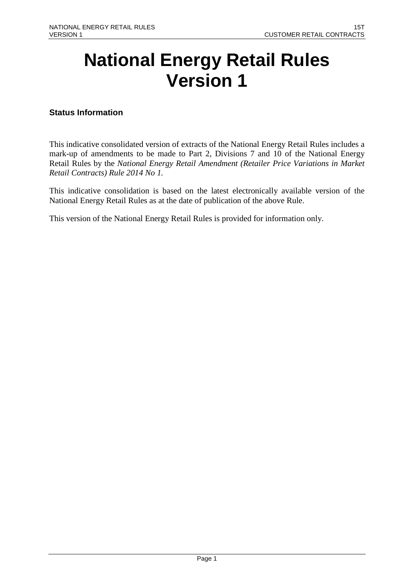# **National Energy Retail Rules Version 1**

## **Status Information**

This indicative consolidated version of extracts of the National Energy Retail Rules includes a mark-up of amendments to be made to Part 2, Divisions 7 and 10 of the National Energy Retail Rules by the *National Energy Retail Amendment (Retailer Price Variations in Market Retail Contracts) Rule 2014 No 1.* 

This indicative consolidation is based on the latest electronically available version of the National Energy Retail Rules as at the date of publication of the above Rule.

This version of the National Energy Retail Rules is provided for information only.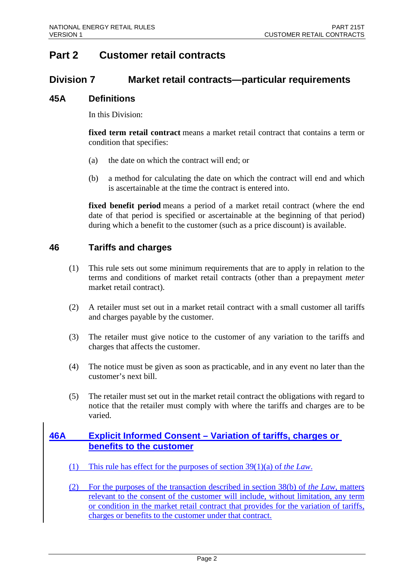# **Part 2 Customer retail contracts**

## **Division 7 Market retail contracts—particular requirements**

## **45A Definitions**

In this Division:

**fixed term retail contract** means a market retail contract that contains a term or condition that specifies:

- (a) the date on which the contract will end; or
- (b) a method for calculating the date on which the contract will end and which is ascertainable at the time the contract is entered into.

**fixed benefit period** means a period of a market retail contract (where the end date of that period is specified or ascertainable at the beginning of that period) during which a benefit to the customer (such as a price discount) is available.

## **46 Tariffs and charges**

- (1) This rule sets out some minimum requirements that are to apply in relation to the terms and conditions of market retail contracts (other than a prepayment *meter* market retail contract).
- (2) A retailer must set out in a market retail contract with a small customer all tariffs and charges payable by the customer.
- (3) The retailer must give notice to the customer of any variation to the tariffs and charges that affects the customer.
- (4) The notice must be given as soon as practicable, and in any event no later than the customer's next bill.
- (5) The retailer must set out in the market retail contract the obligations with regard to notice that the retailer must comply with where the tariffs and charges are to be varied.

## **46A Explicit Informed Consent – Variation of tariffs, charges or benefits to the customer**

- (1) This rule has effect for the purposes of section 39(1)(a) of *the Law*.
- (2) For the purposes of the transaction described in section 38(b) of *the Law*, matters relevant to the consent of the customer will include, without limitation, any term or condition in the market retail contract that provides for the variation of tariffs, charges or benefits to the customer under that contract.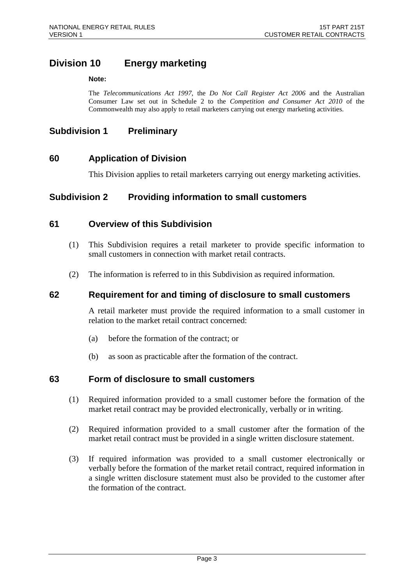## **Division 10 Energy marketing**

#### **Note:**

The *Telecommunications Act 1997*, the *Do Not Call Register Act 2006* and the Australian Consumer Law set out in Schedule 2 to the *Competition and Consumer Act 2010* of the Commonwealth may also apply to retail marketers carrying out energy marketing activities.

## **Subdivision 1 Preliminary**

## **60 Application of Division**

This Division applies to retail marketers carrying out energy marketing activities.

## **Subdivision 2 Providing information to small customers**

## **61 Overview of this Subdivision**

- (1) This Subdivision requires a retail marketer to provide specific information to small customers in connection with market retail contracts.
- (2) The information is referred to in this Subdivision as required information.

## **62 Requirement for and timing of disclosure to small customers**

A retail marketer must provide the required information to a small customer in relation to the market retail contract concerned:

- (a) before the formation of the contract; or
- (b) as soon as practicable after the formation of the contract.

## **63 Form of disclosure to small customers**

- (1) Required information provided to a small customer before the formation of the market retail contract may be provided electronically, verbally or in writing.
- (2) Required information provided to a small customer after the formation of the market retail contract must be provided in a single written disclosure statement.
- (3) If required information was provided to a small customer electronically or verbally before the formation of the market retail contract, required information in a single written disclosure statement must also be provided to the customer after the formation of the contract.